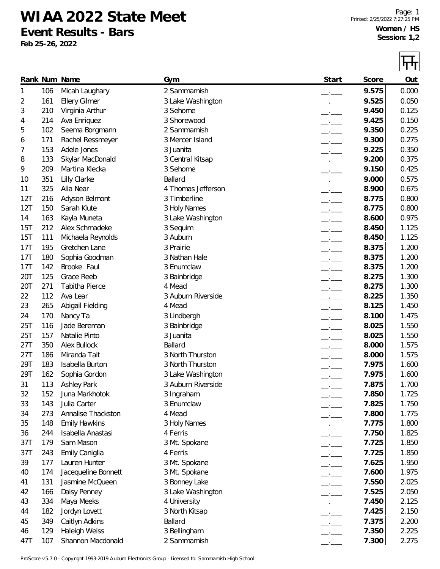## **WIAA 2022 State Meet**

**Event Results - Bars**

**Feb 25-26, 2022**

 $\Box$ 

|     |     |                        |                    |                          |       | 71 Y L |
|-----|-----|------------------------|--------------------|--------------------------|-------|--------|
|     |     | Rank Num Name          | Gym                | Start                    | Score | Out    |
| 1   | 106 | Micah Laughary         | 2 Sammamish        |                          | 9.575 | 0.000  |
| 2   | 161 | <b>Ellery Gilmer</b>   | 3 Lake Washington  |                          | 9.525 | 0.050  |
| 3   | 210 | Virginia Arthur        | 3 Sehome           |                          | 9.450 | 0.125  |
| 4   | 214 | Ava Enriquez           | 3 Shorewood        | $-1$                     | 9.425 | 0.150  |
| 5   | 102 | Seema Borgmann         | 2 Sammamish        | $\overline{\phantom{a}}$ | 9.350 | 0.225  |
| 6   | 171 | Rachel Ressmeyer       | 3 Mercer Island    | $-1$                     | 9.300 | 0.275  |
| 7   | 153 | Adele Jones            | 3 Juanita          | $-1$                     | 9.225 | 0.350  |
| 8   | 133 | Skylar MacDonald       | 3 Central Kitsap   | $-$                      | 9.200 | 0.375  |
| 9   | 209 | Martina Klecka         | 3 Sehome           | $-1$                     | 9.150 | 0.425  |
| 10  | 351 | Lilly Clarke           | Ballard            |                          | 9.000 | 0.575  |
| 11  | 325 | Alia Near              | 4 Thomas Jefferson | $-$                      | 8.900 | 0.675  |
| 12T | 216 | Adyson Belmont         | 3 Timberline       | $ -$                     | 8.775 | 0.800  |
| 12T | 150 | Sarah Klute            | 3 Holy Names       | $\overline{\phantom{a}}$ | 8.775 | 0.800  |
| 14  | 163 | Kayla Muneta           | 3 Lake Washington  | $ -$                     | 8.600 | 0.975  |
| 15T | 212 | Alex Schmadeke         | 3 Sequim           | $  -$                    | 8.450 | 1.125  |
| 15T | 111 | Michaela Reynolds      | 3 Auburn           | $ -$                     | 8.450 | 1.125  |
| 17T | 195 | Gretchen Lane          | 3 Prairie          | $\overline{\phantom{a}}$ | 8.375 | 1.200  |
| 17T | 180 | Sophia Goodman         | 3 Nathan Hale      | $-$                      | 8.375 | 1.200  |
| 17T | 142 | Brooke Faul            | 3 Enumclaw         | $-$                      | 8.375 | 1.200  |
| 20T | 125 | Grace Reeb             | 3 Bainbridge       | $\overline{\phantom{a}}$ | 8.275 | 1.300  |
| 20T | 271 | Tabitha Pierce         | 4 Mead             | $\overline{\phantom{a}}$ | 8.275 | 1.300  |
| 22  | 112 | Ava Lear               | 3 Auburn Riverside | $-1$                     | 8.225 | 1.350  |
| 23  | 265 | Abigail Fielding       | 4 Mead             | $   -$                   | 8.125 | 1.450  |
| 24  | 170 | Nancy Ta               | 3 Lindbergh        | $ -$                     | 8.100 | 1.475  |
| 25T | 116 | Jade Bereman           | 3 Bainbridge       |                          | 8.025 | 1.550  |
| 25T | 157 | Natalie Pinto          | 3 Juanita          | $ -$                     | 8.025 | 1.550  |
| 27T | 350 | <b>Alex Bullock</b>    | Ballard            | $ -$                     | 8.000 | 1.575  |
| 27T | 186 | Miranda Tait           | 3 North Thurston   | $   -$                   | 8.000 | 1.575  |
| 29T | 183 | <b>Isabella Burton</b> | 3 North Thurston   |                          | 7.975 | 1.600  |
| 29T | 162 | Sophia Gordon          | 3 Lake Washington  |                          | 7.975 | 1.600  |
| 31  | 113 | <b>Ashley Park</b>     | 3 Auburn Riverside |                          | 7.875 | 1.700  |
| 32  | 152 | Juna Markhotok         | 3 Ingraham         |                          | 7.850 | 1.725  |
| 33  | 143 | Julia Carter           | 3 Enumclaw         |                          | 7.825 | 1.750  |
| 34  | 273 | Annalise Thackston     | 4 Mead             | $-$                      | 7.800 | 1.775  |
| 35  | 148 | <b>Emily Hawkins</b>   | 3 Holy Names       | $-$                      | 7.775 | 1.800  |
| 36  | 244 | Isabella Anastasi      | 4 Ferris           | $-$                      | 7.750 | 1.825  |
| 37T | 179 | Sam Mason              | 3 Mt. Spokane      | $-$                      | 7.725 | 1.850  |
| 37T | 243 | Emily Caniglia         | 4 Ferris           | $ -$                     | 7.725 | 1.850  |
| 39  | 177 | Lauren Hunter          | 3 Mt. Spokane      | $   -$                   | 7.625 | 1.950  |
| 40  | 174 | Jacequeline Bonnett    | 3 Mt. Spokane      | $\overline{\phantom{a}}$ | 7.600 | 1.975  |
| 41  | 131 | Jasmine McQueen        | 3 Bonney Lake      | $ -$                     | 7.550 | 2.025  |
| 42  | 166 | Daisy Penney           | 3 Lake Washington  | $ -$                     | 7.525 | 2.050  |
| 43  | 334 | Maya Meeks             | 4 University       | $-$                      | 7.450 | 2.125  |
| 44  | 182 | Jordyn Lovett          | 3 North Kitsap     | $-1$                     | 7.425 | 2.150  |
| 45  | 349 | Caitlyn Adkins         | Ballard            | $ -$                     | 7.375 | 2.200  |
| 46  | 129 | Haleigh Weiss          | 3 Bellingham       |                          | 7.350 | 2.225  |
| 47T | 107 | Shannon Macdonald      | 2 Sammamish        |                          | 7.300 | 2.275  |

ProScore v5.7.0 - Copyright 1993-2019 Auburn Electronics Group - Licensed to: Sammamish High School